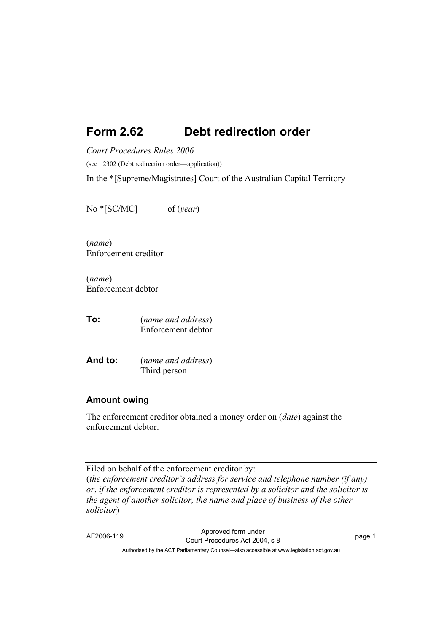# **Form 2.62 Debt redirection order**

*Court Procedures Rules 2006* 

(see r 2302 (Debt redirection order—application))

In the \*[Supreme/Magistrates] Court of the Australian Capital Territory

No \*[SC/MC] of (*year*)

(*name*) Enforcement creditor

(*name*) Enforcement debtor

**To:** (*name and address*) Enforcement debtor

**And to:** (*name and address*) Third person

### **Amount owing**

The enforcement creditor obtained a money order on (*date*) against the enforcement debtor.

Filed on behalf of the enforcement creditor by: (*the enforcement creditor's address for service and telephone number (if any) or*, *if the enforcement creditor is represented by a solicitor and the solicitor is the agent of another solicitor, the name and place of business of the other solicitor*)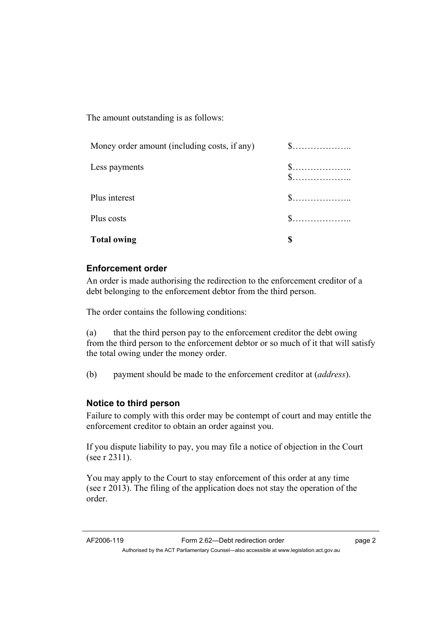The amount outstanding is as follows:

| Money order amount (including costs, if any) | $\$\ldots\ldots\ldots\ldots\ldots\ldots$                                             |
|----------------------------------------------|--------------------------------------------------------------------------------------|
| Less payments                                | $\$\ldots\ldots\ldots\ldots\ldots\ldots$<br>$\$\ldots\ldots\ldots\ldots\ldots\ldots$ |
| Plus interest                                |                                                                                      |
| Plus costs                                   | $\$\ldots\ldots\ldots\ldots\ldots\ldots$                                             |
| <b>Total owing</b>                           |                                                                                      |

# **Enforcement order**

An order is made authorising the redirection to the enforcement creditor of a debt belonging to the enforcement debtor from the third person.

The order contains the following conditions:

(a) that the third person pay to the enforcement creditor the debt owing from the third person to the enforcement debtor or so much of it that will satisfy the total owing under the money order.

(b) payment should be made to the enforcement creditor at (*address*).

## **Notice to third person**

Failure to comply with this order may be contempt of court and may entitle the enforcement creditor to obtain an order against you.

If you dispute liability to pay, you may file a notice of objection in the Court (see r 2311).

You may apply to the Court to stay enforcement of this order at any time (see r 2013). The filing of the application does not stay the operation of the order.